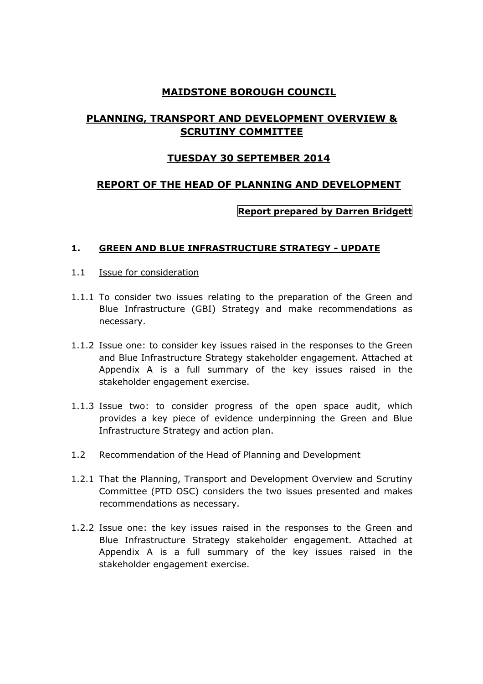# **MAIDSTONE BOROUGH COUNCIL**

# **PLANNING, TRANSPORT AND DEVELOPMENT OVERVIEW & SCRUTINY COMMITTEE**

# **TUESDAY 30 SEPTEMBER 2014**

# **REPORT OF THE HEAD OF PLANNING AND DEVELOPMENT**

# **Report prepared by Darren Bridgett**

### **1. GREEN AND BLUE INFRASTRUCTURE STRATEGY - UPDATE**

- 1.1 Issue for consideration
- 1.1.1 To consider two issues relating to the preparation of the Green and Blue Infrastructure (GBI) Strategy and make recommendations as necessary.
- 1.1.2 Issue one: to consider key issues raised in the responses to the Green and Blue Infrastructure Strategy stakeholder engagement. Attached at Appendix A is a full summary of the key issues raised in the stakeholder engagement exercise.
- 1.1.3 Issue two: to consider progress of the open space audit, which provides a key piece of evidence underpinning the Green and Blue Infrastructure Strategy and action plan.
- 1.2 Recommendation of the Head of Planning and Development
- 1.2.1 That the Planning, Transport and Development Overview and Scrutiny Committee (PTD OSC) considers the two issues presented and makes recommendations as necessary.
- 1.2.2 Issue one: the key issues raised in the responses to the Green and Blue Infrastructure Strategy stakeholder engagement. Attached at Appendix A is a full summary of the key issues raised in the stakeholder engagement exercise.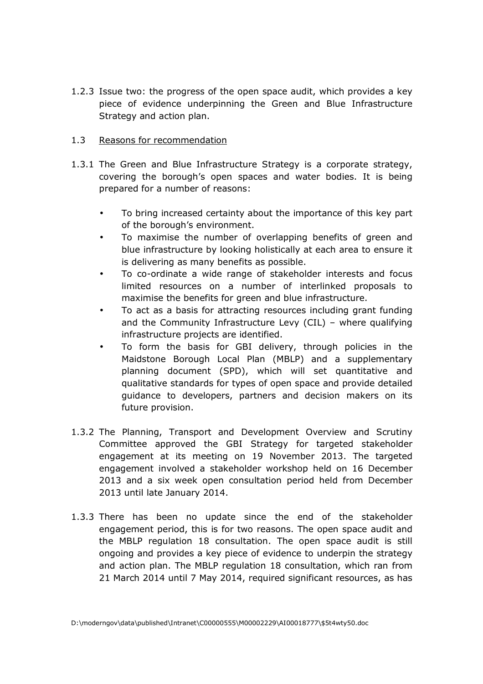1.2.3 Issue two: the progress of the open space audit, which provides a key piece of evidence underpinning the Green and Blue Infrastructure Strategy and action plan.

### 1.3 Reasons for recommendation

- 1.3.1 The Green and Blue Infrastructure Strategy is a corporate strategy, covering the borough's open spaces and water bodies. It is being prepared for a number of reasons:
	- To bring increased certainty about the importance of this key part of the borough's environment.
	- To maximise the number of overlapping benefits of green and blue infrastructure by looking holistically at each area to ensure it is delivering as many benefits as possible.
	- To co-ordinate a wide range of stakeholder interests and focus limited resources on a number of interlinked proposals to maximise the benefits for green and blue infrastructure.
	- To act as a basis for attracting resources including grant funding and the Community Infrastructure Levy (CIL) – where qualifying infrastructure projects are identified.
	- To form the basis for GBI delivery, through policies in the Maidstone Borough Local Plan (MBLP) and a supplementary planning document (SPD), which will set quantitative and qualitative standards for types of open space and provide detailed guidance to developers, partners and decision makers on its future provision.
- 1.3.2 The Planning, Transport and Development Overview and Scrutiny Committee approved the GBI Strategy for targeted stakeholder engagement at its meeting on 19 November 2013. The targeted engagement involved a stakeholder workshop held on 16 December 2013 and a six week open consultation period held from December 2013 until late January 2014.
- 1.3.3 There has been no update since the end of the stakeholder engagement period, this is for two reasons. The open space audit and the MBLP regulation 18 consultation. The open space audit is still ongoing and provides a key piece of evidence to underpin the strategy and action plan. The MBLP regulation 18 consultation, which ran from 21 March 2014 until 7 May 2014, required significant resources, as has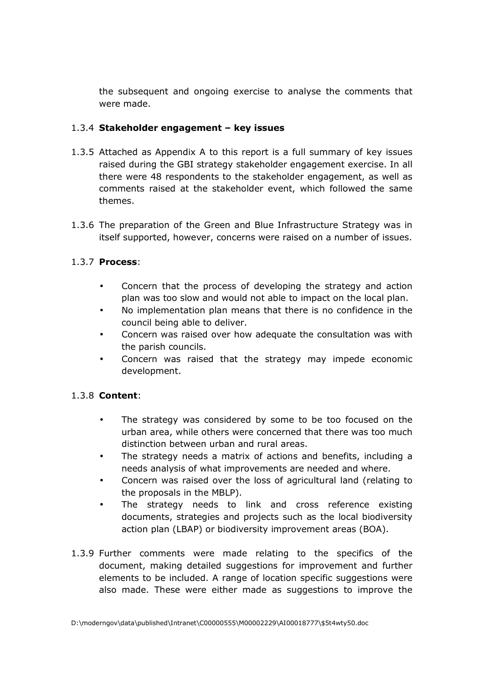the subsequent and ongoing exercise to analyse the comments that were made.

### 1.3.4 **Stakeholder engagement – key issues**

- 1.3.5 Attached as Appendix A to this report is a full summary of key issues raised during the GBI strategy stakeholder engagement exercise. In all there were 48 respondents to the stakeholder engagement, as well as comments raised at the stakeholder event, which followed the same themes.
- 1.3.6 The preparation of the Green and Blue Infrastructure Strategy was in itself supported, however, concerns were raised on a number of issues.

# 1.3.7 **Process**:

- Concern that the process of developing the strategy and action plan was too slow and would not able to impact on the local plan.
- No implementation plan means that there is no confidence in the council being able to deliver.
- Concern was raised over how adequate the consultation was with the parish councils.
- Concern was raised that the strategy may impede economic development.

### 1.3.8 **Content**:

- The strategy was considered by some to be too focused on the urban area, while others were concerned that there was too much distinction between urban and rural areas.
- The strategy needs a matrix of actions and benefits, including a needs analysis of what improvements are needed and where.
- Concern was raised over the loss of agricultural land (relating to the proposals in the MBLP).
- The strategy needs to link and cross reference existing documents, strategies and projects such as the local biodiversity action plan (LBAP) or biodiversity improvement areas (BOA).
- 1.3.9 Further comments were made relating to the specifics of the document, making detailed suggestions for improvement and further elements to be included. A range of location specific suggestions were also made. These were either made as suggestions to improve the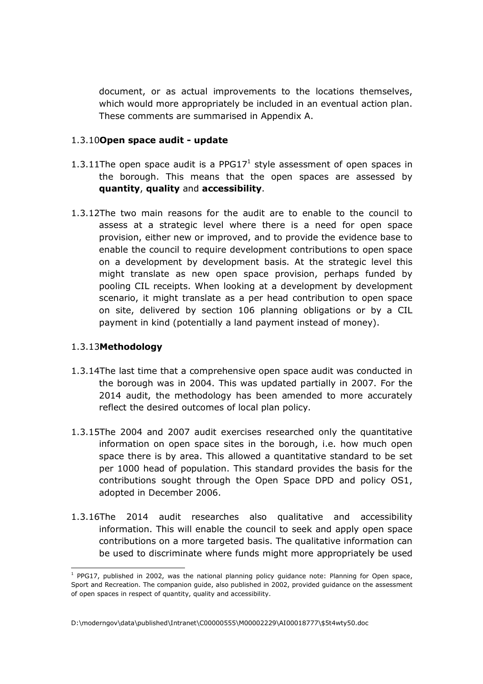document, or as actual improvements to the locations themselves, which would more appropriately be included in an eventual action plan. These comments are summarised in Appendix A.

#### 1.3.10**Open space audit - update**

- 1.3.11The open space audit is a PPG17<sup>1</sup> style assessment of open spaces in the borough. This means that the open spaces are assessed by **quantity**, **quality** and **accessibility**.
- 1.3.12The two main reasons for the audit are to enable to the council to assess at a strategic level where there is a need for open space provision, either new or improved, and to provide the evidence base to enable the council to require development contributions to open space on a development by development basis. At the strategic level this might translate as new open space provision, perhaps funded by pooling CIL receipts. When looking at a development by development scenario, it might translate as a per head contribution to open space on site, delivered by section 106 planning obligations or by a CIL payment in kind (potentially a land payment instead of money).

### 1.3.13**Methodology**

 $\overline{a}$ 

- 1.3.14The last time that a comprehensive open space audit was conducted in the borough was in 2004. This was updated partially in 2007. For the 2014 audit, the methodology has been amended to more accurately reflect the desired outcomes of local plan policy.
- 1.3.15The 2004 and 2007 audit exercises researched only the quantitative information on open space sites in the borough, i.e. how much open space there is by area. This allowed a quantitative standard to be set per 1000 head of population. This standard provides the basis for the contributions sought through the Open Space DPD and policy OS1, adopted in December 2006.
- 1.3.16The 2014 audit researches also qualitative and accessibility information. This will enable the council to seek and apply open space contributions on a more targeted basis. The qualitative information can be used to discriminate where funds might more appropriately be used

<sup>&</sup>lt;sup>1</sup> PPG17, published in 2002, was the national planning policy guidance note: Planning for Open space, Sport and Recreation. The companion guide, also published in 2002, provided guidance on the assessment of open spaces in respect of quantity, quality and accessibility.

D:\moderngov\data\published\Intranet\C00000555\M00002229\AI00018777\\$5t4wty50.doc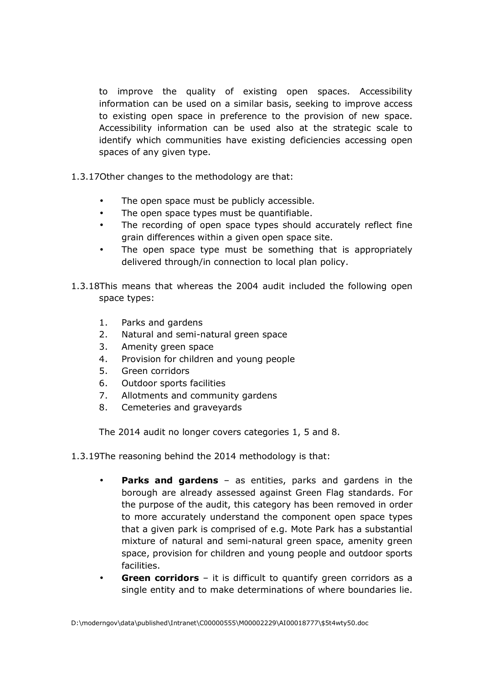to improve the quality of existing open spaces. Accessibility information can be used on a similar basis, seeking to improve access to existing open space in preference to the provision of new space. Accessibility information can be used also at the strategic scale to identify which communities have existing deficiencies accessing open spaces of any given type.

- 1.3.17Other changes to the methodology are that:
	- The open space must be publicly accessible.
	- The open space types must be quantifiable.
	- The recording of open space types should accurately reflect fine grain differences within a given open space site.
	- The open space type must be something that is appropriately delivered through/in connection to local plan policy.
- 1.3.18This means that whereas the 2004 audit included the following open space types:
	- 1. Parks and gardens
	- 2. Natural and semi-natural green space
	- 3. Amenity green space
	- 4. Provision for children and young people
	- 5. Green corridors
	- 6. Outdoor sports facilities
	- 7. Allotments and community gardens
	- 8. Cemeteries and graveyards

The 2014 audit no longer covers categories 1, 5 and 8.

- 1.3.19The reasoning behind the 2014 methodology is that:
	- **Parks and gardens** as entities, parks and gardens in the borough are already assessed against Green Flag standards. For the purpose of the audit, this category has been removed in order to more accurately understand the component open space types that a given park is comprised of e.g. Mote Park has a substantial mixture of natural and semi-natural green space, amenity green space, provision for children and young people and outdoor sports facilities.
	- **Green corridors** it is difficult to quantify green corridors as a single entity and to make determinations of where boundaries lie.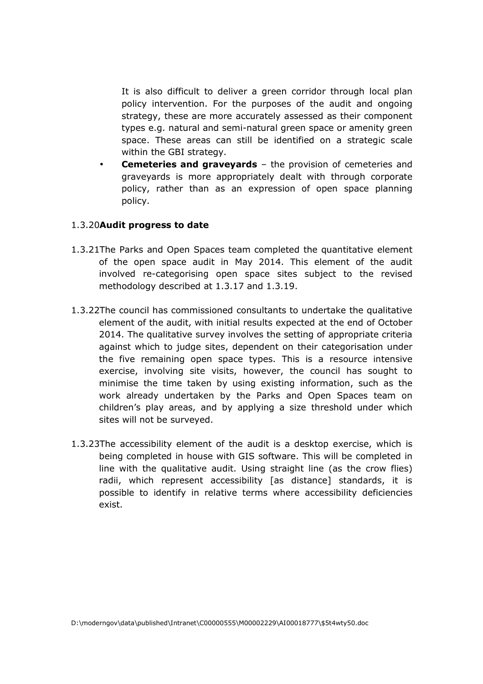It is also difficult to deliver a green corridor through local plan policy intervention. For the purposes of the audit and ongoing strategy, these are more accurately assessed as their component types e.g. natural and semi-natural green space or amenity green space. These areas can still be identified on a strategic scale within the GBI strategy.

**Cemeteries and graveyards** – the provision of cemeteries and graveyards is more appropriately dealt with through corporate policy, rather than as an expression of open space planning policy.

#### 1.3.20**Audit progress to date**

- 1.3.21The Parks and Open Spaces team completed the quantitative element of the open space audit in May 2014. This element of the audit involved re-categorising open space sites subject to the revised methodology described at 1.3.17 and 1.3.19.
- 1.3.22The council has commissioned consultants to undertake the qualitative element of the audit, with initial results expected at the end of October 2014. The qualitative survey involves the setting of appropriate criteria against which to judge sites, dependent on their categorisation under the five remaining open space types. This is a resource intensive exercise, involving site visits, however, the council has sought to minimise the time taken by using existing information, such as the work already undertaken by the Parks and Open Spaces team on children's play areas, and by applying a size threshold under which sites will not be surveyed.
- 1.3.23The accessibility element of the audit is a desktop exercise, which is being completed in house with GIS software. This will be completed in line with the qualitative audit. Using straight line (as the crow flies) radii, which represent accessibility [as distance] standards, it is possible to identify in relative terms where accessibility deficiencies exist.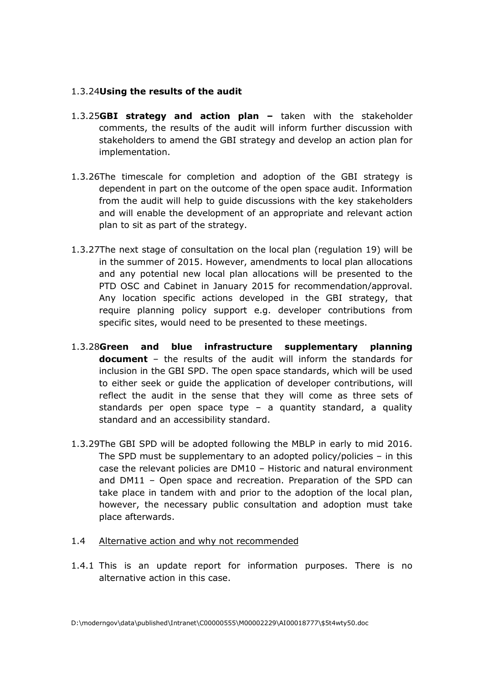### 1.3.24**Using the results of the audit**

- 1.3.25**GBI strategy and action plan –** taken with the stakeholder comments, the results of the audit will inform further discussion with stakeholders to amend the GBI strategy and develop an action plan for implementation.
- 1.3.26The timescale for completion and adoption of the GBI strategy is dependent in part on the outcome of the open space audit. Information from the audit will help to guide discussions with the key stakeholders and will enable the development of an appropriate and relevant action plan to sit as part of the strategy.
- 1.3.27The next stage of consultation on the local plan (regulation 19) will be in the summer of 2015. However, amendments to local plan allocations and any potential new local plan allocations will be presented to the PTD OSC and Cabinet in January 2015 for recommendation/approval. Any location specific actions developed in the GBI strategy, that require planning policy support e.g. developer contributions from specific sites, would need to be presented to these meetings.
- 1.3.28**Green and blue infrastructure supplementary planning document** – the results of the audit will inform the standards for inclusion in the GBI SPD. The open space standards, which will be used to either seek or guide the application of developer contributions, will reflect the audit in the sense that they will come as three sets of standards per open space type – a quantity standard, a quality standard and an accessibility standard.
- 1.3.29The GBI SPD will be adopted following the MBLP in early to mid 2016. The SPD must be supplementary to an adopted policy/policies – in this case the relevant policies are DM10 – Historic and natural environment and DM11 – Open space and recreation. Preparation of the SPD can take place in tandem with and prior to the adoption of the local plan, however, the necessary public consultation and adoption must take place afterwards.
- 1.4 Alternative action and why not recommended
- 1.4.1 This is an update report for information purposes. There is no alternative action in this case.

D:\moderngov\data\published\Intranet\C00000555\M00002229\AI00018777\\$5t4wty50.doc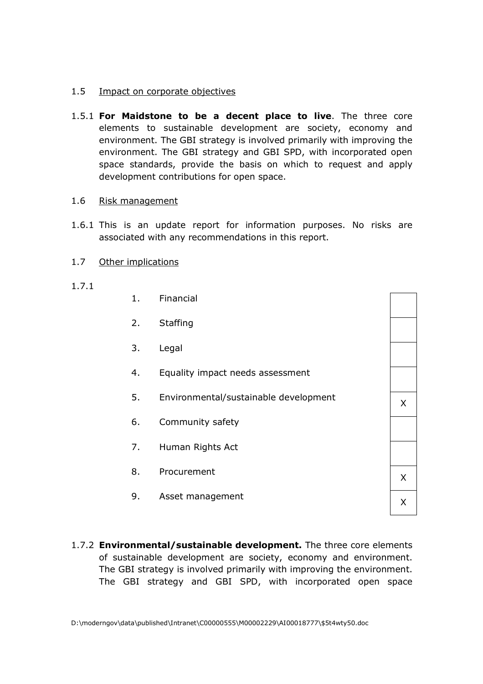#### 1.5 Impact on corporate objectives

1.5.1 **For Maidstone to be a decent place to live**. The three core elements to sustainable development are society, economy and environment. The GBI strategy is involved primarily with improving the environment. The GBI strategy and GBI SPD, with incorporated open space standards, provide the basis on which to request and apply development contributions for open space.

#### 1.6 Risk management

- 1.6.1 This is an update report for information purposes. No risks are associated with any recommendations in this report.
- 1.7 Other implications
- 1.7.1
- 1. Financial 2. Staffing 3. Legal 4. Equality impact needs assessment 5. Environmental/sustainable development  $\overline{X}$ 6. Community safety 7. Human Rights Act 8. Procurement X 9. Asset management X
- 1.7.2 **Environmental/sustainable development.** The three core elements of sustainable development are society, economy and environment. The GBI strategy is involved primarily with improving the environment. The GBI strategy and GBI SPD, with incorporated open space

D:\moderngov\data\published\Intranet\C00000555\M00002229\AI00018777\\$5t4wty50.doc